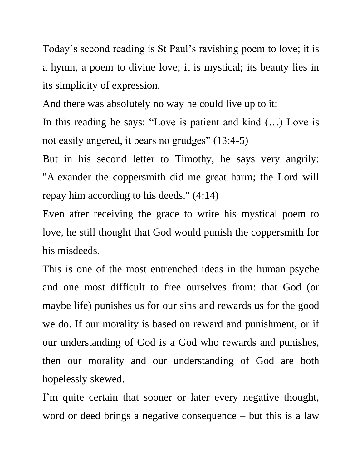Today's second reading is St Paul's ravishing poem to love; it is a hymn, a poem to divine love; it is mystical; its beauty lies in its simplicity of expression.

And there was absolutely no way he could live up to it:

In this reading he says: "Love is patient and kind (…) Love is not easily angered, it bears no grudges" (13:4-5)

But in his second letter to Timothy, he says very angrily: "Alexander the coppersmith did me great harm; the Lord will repay him according to his deeds." (4:14)

Even after receiving the grace to write his mystical poem to love, he still thought that God would punish the coppersmith for his misdeeds.

This is one of the most entrenched ideas in the human psyche and one most difficult to free ourselves from: that God (or maybe life) punishes us for our sins and rewards us for the good we do. If our morality is based on reward and punishment, or if our understanding of God is a God who rewards and punishes, then our morality and our understanding of God are both hopelessly skewed.

I'm quite certain that sooner or later every negative thought, word or deed brings a negative consequence – but this is a law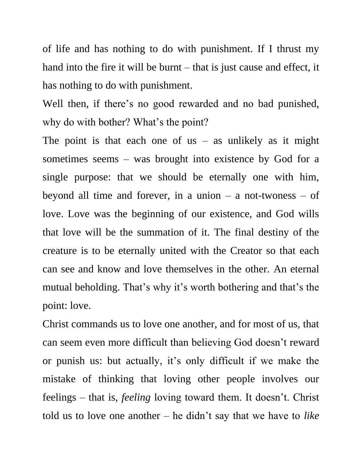of life and has nothing to do with punishment. If I thrust my hand into the fire it will be burnt – that is just cause and effect, it has nothing to do with punishment.

Well then, if there's no good rewarded and no bad punished, why do with bother? What's the point?

The point is that each one of us – as unlikely as it might sometimes seems – was brought into existence by God for a single purpose: that we should be eternally one with him, beyond all time and forever, in a union  $-$  a not-twoness  $-$  of love. Love was the beginning of our existence, and God wills that love will be the summation of it. The final destiny of the creature is to be eternally united with the Creator so that each can see and know and love themselves in the other. An eternal mutual beholding. That's why it's worth bothering and that's the point: love.

Christ commands us to love one another, and for most of us, that can seem even more difficult than believing God doesn't reward or punish us: but actually, it's only difficult if we make the mistake of thinking that loving other people involves our feelings – that is, *feeling* loving toward them. It doesn't. Christ told us to love one another – he didn't say that we have to *like*